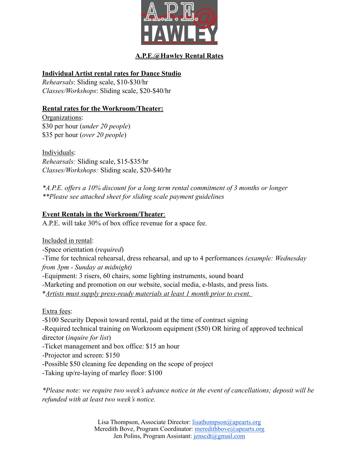

# **A.P.E.@Hawley Rental Rates**

#### **Individual Artist rental rates for Dance Studio**

*Rehearsals*: Sliding scale, \$10-\$30/hr *Classes/Workshops*: Sliding scale, \$20-\$40/hr

### **Rental rates for the Workroom/Theater:**

Organizations: \$30 per hour (*under 20 people*) \$35 per hour (*over 20 people*)

Individuals: *Rehearsals:* Sliding scale, \$15-\$35/hr *Classes/Workshops:* Sliding scale, \$20-\$40/hr

*\*A.P.E. offers a 10% discount for a long term rental commitment of 3 months or longer \*\*Please see attached sheet for sliding scale payment guidelines*

#### **Event Rentals in the Workroom/Theater**:

A.P.E. will take 30% of box office revenue for a space fee.

Included in rental: -Space orientation (*required*) -Time for technical rehearsal, dress rehearsal, and up to 4 performances *(example: Wednesday from 3pm - Sunday at midnight)* -Equipment: 3 risers, 60 chairs, some lighting instruments, sound board -Marketing and promotion on our website, social media, e-blasts, and press lists. \**Artists must supply press-ready materials at least 1 month prior to event.*  Extra fees:

-\$100 Security Deposit toward rental, paid at the time of contract signing

-Required technical training on Workroom equipment (\$50) OR hiring of approved technical director (*inquire for list*)

-Ticket management and box office: \$15 an hour

-Projector and screen: \$150

-Possible \$50 cleaning fee depending on the scope of project

-Taking up/re-laying of marley floor: \$100

*\*Please note: we require two week's advance notice in the event of cancellations; deposit will be refunded with at least two week's notice.*

> Lisa Thompson, Associate Director: [lisathompson@apearts.org](mailto:lisathompson@apearts.org) Meredith Bove, Program Coordinator: [meredithbove@apearts.org](mailto:meredithbove@apearts.org) Jen Polins, Program Assistant: jensedt@gmail.com